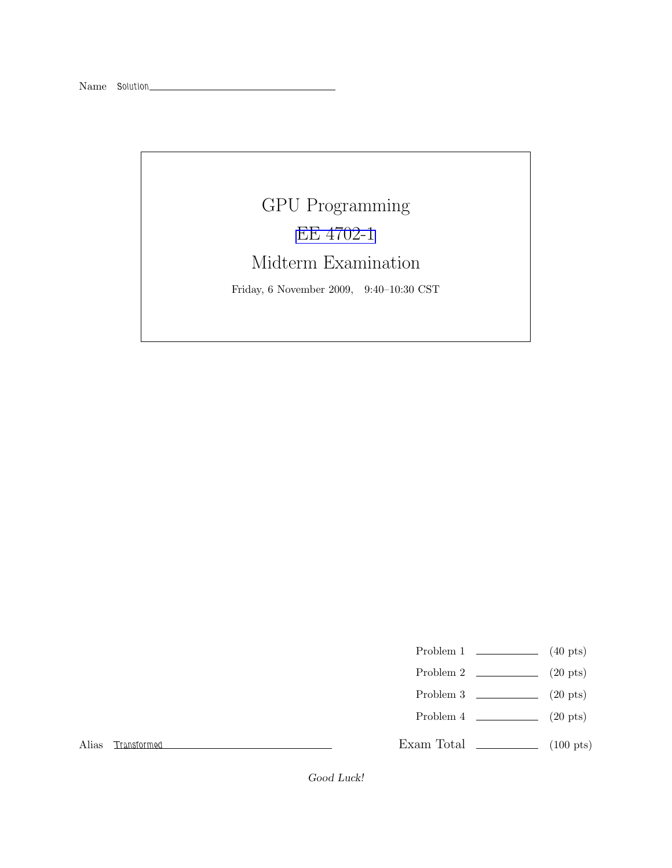# GPU Programming [EE 4702-1](http://www.ece.lsu.edu/koppel/gpup/) Midterm Examination Friday, 6 November 2009, 9:40–10:30 CST

- Problem 1  $\qquad \qquad$  (40 pts)
- Problem 2  $\qquad \qquad (20 \text{ pts})$
- Problem 3  $\qquad \qquad$  (20 pts)
- Problem 4  $\qquad \qquad (20 \text{ pts})$

Exam Total \_\_\_\_\_\_\_\_\_\_\_\_\_ (100 pts)

Alias Transformed

Good Luck!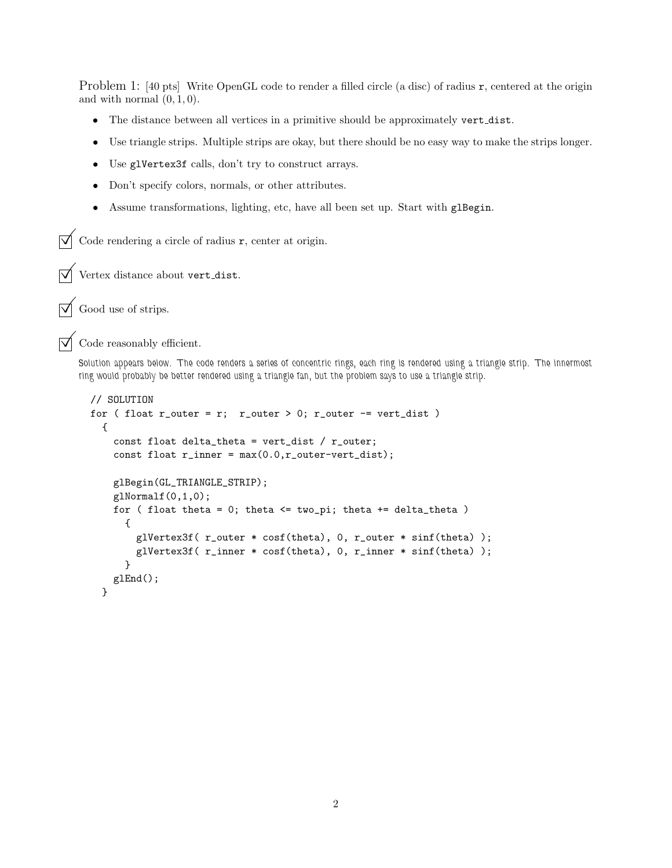Problem 1: [40 pts] Write OpenGL code to render a filled circle (a disc) of radius r, centered at the origin and with normal  $(0, 1, 0)$ .

- The distance between all vertices in a primitive should be approximately vert dist.
- Use triangle strips. Multiple strips are okay, but there should be no easy way to make the strips longer.
- Use glVertex3f calls, don't try to construct arrays.
- Don't specify colors, normals, or other attributes.
- Assume transformations, lighting, etc, have all been set up. Start with glBegin.

 $\overrightarrow{\mathcal{A}}$  Code rendering a circle of radius **r**, center at origin.

 $\triangledown$  Vertex distance about vert\_dist.

 $\triangledown$  Good use of strips.

 $\overrightarrow{\mathsf{M}}$  Code reasonably efficient.

Solution appears below. The code renders a series of concentric rings, each ring is rendered using a triangle strip. The innermost ring would probably be better rendered using a triangle fan, but the problem says to use a triangle strip.

```
// SOLUTION
for ( float r_outer = r; r_outer > 0; r_outer -= vert_dist )
  {
    const float delta_theta = vert_dist / r_outer;
    const float r_inner = max(0.0,r_outer-vert_dist);
    glBegin(GL_TRIANGLE_STRIP);
   glNormalf(0,1,0);
   for ( float theta = 0; theta \le two_pi; theta += delta_theta )
      {
        glVertex3f( r_outer * cosf(theta), 0, r_outer * sinf(theta) );
        glVertex3f( r_inner * cosf(theta), 0, r_inner * sinf(theta) );
      }
   glEnd();
 }
```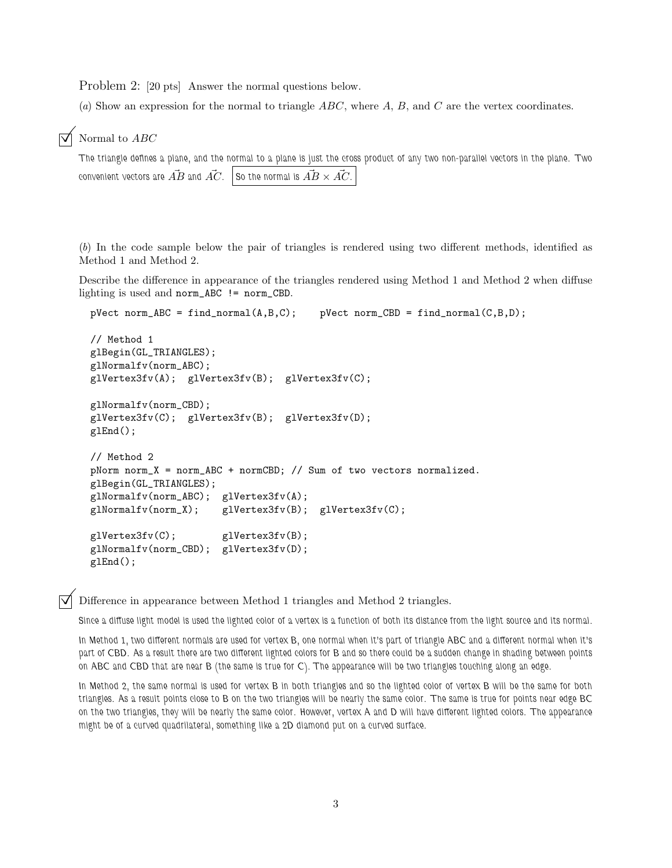Problem 2: [20 pts] Answer the normal questions below.

(a) Show an expression for the normal to triangle  $ABC$ , where  $A, B$ , and  $C$  are the vertex coordinates.

#### $\triangledown$  Normal to ABC

The triangle defines a plane, and the normal to a plane is just the cross product of any two non-parallel vectors in the plane. Two convenient vectors are  $\vec{AB}$  and  $\vec{AC}$ . So the normal is  $\vec{AB} \times \vec{AC}$ .

(b) In the code sample below the pair of triangles is rendered using two different methods, identified as Method 1 and Method 2.

Describe the difference in appearance of the triangles rendered using Method 1 and Method 2 when diffuse lighting is used and norm\_ABC != norm\_CBD.

```
pVect norm_ABC = find_normal(A, B, C); pVect norm_CBD = find_normal(C, B, D);
// Method 1
glBegin(GL_TRIANGLES);
glNormalfv(norm_ABC);
glVertex3fv(A); glVertex3fv(B); glVertex3fv(C);
glNormalfv(norm_CBD);
glVertex3fv(C); glVertex3fv(B); glVertex3fv(D);
glEnd();
// Method 2
pNorm norm_X = norm_ABC + normCBD; // Sum of two vectors normalized.
glBegin(GL_TRIANGLES);
glNormalfv(norm_ABC); glVertex3fv(A);
glNormalfv(norm_X); glVertex3fv(B); glVertex3fv(C);
glVertex3fv(C); glVertex3fv(B);
glNormalfv(norm_CBD); glVertex3fv(D);
glEnd();
```
Difference in appearance between Method 1 triangles and Method 2 triangles.

Since a diffuse light model is used the lighted color of a vertex is a function of both its distance from the light source and its normal.

In Method 1, two different normals are used for vertex B, one normal when it's part of triangle ABC and a different normal when it's part of CBD. As a result there are two different lighted colors for B and so there could be a sudden change in shading between points on ABC and CBD that are near B (the same is true for C). The appearance will be two triangles touching along an edge.

In Method 2, the same normal is used for vertex B in both triangles and so the lighted color of vertex B will be the same for both triangles. As a result points close to B on the two triangles will be nearly the same color. The same is true for points near edge BC on the two triangles, they will be nearly the same color. However, vertex A and D will have different lighted colors. The appearance might be of a curved quadrilateral, something like a 2D diamond put on a curved surface.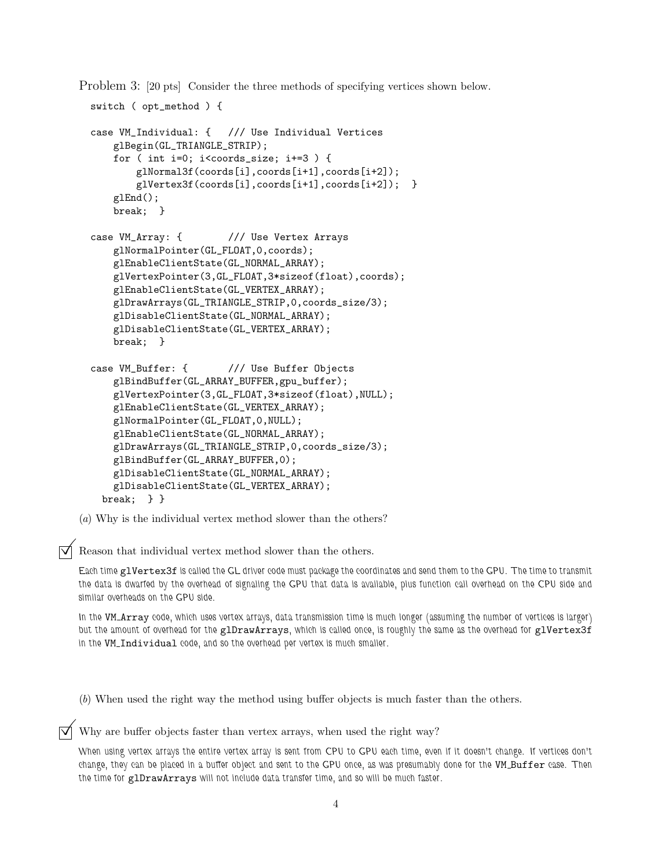Problem 3: [20 pts] Consider the three methods of specifying vertices shown below.

```
switch ( opt_method ) {
case VM_Individual: { /// Use Individual Vertices
    glBegin(GL_TRIANGLE_STRIP);
    for ( int i=0; i<coords_size; i+=3 ) {
        glNormal3f(coords[i],coords[i+1],coords[i+2]);
        glVertex3f(coords[i],coords[i+1],coords[i+2]); }
    glEnd();
    break; }
case VM_Array: { /// Use Vertex Arrays
    glNormalPointer(GL_FLOAT,0,coords);
   glEnableClientState(GL_NORMAL_ARRAY);
   glVertexPointer(3,GL_FLOAT,3*sizeof(float),coords);
    glEnableClientState(GL_VERTEX_ARRAY);
    glDrawArrays(GL_TRIANGLE_STRIP,0,coords_size/3);
   glDisableClientState(GL_NORMAL_ARRAY);
    glDisableClientState(GL_VERTEX_ARRAY);
    break; }
case VM_Buffer: { /// Use Buffer Objects
    glBindBuffer(GL_ARRAY_BUFFER,gpu_buffer);
   glVertexPointer(3,GL_FLOAT,3*sizeof(float),NULL);
    glEnableClientState(GL_VERTEX_ARRAY);
   glNormalPointer(GL_FLOAT,0,NULL);
    glEnableClientState(GL_NORMAL_ARRAY);
    glDrawArrays(GL_TRIANGLE_STRIP,0,coords_size/3);
   glBindBuffer(GL_ARRAY_BUFFER,0);
    glDisableClientState(GL_NORMAL_ARRAY);
    glDisableClientState(GL_VERTEX_ARRAY);
 break; } }
```
(a) Why is the individual vertex method slower than the others?

Reason that individual vertex method slower than the others.

Each time glVertex3f is called the GL driver code must package the coordinates and send them to the GPU. The time to transmit the data is dwarfed by the overhead of signaling the GPU that data is available, plus function call overhead on the CPU side and similar overheads on the GPU side.

In the VM\_Array code, which uses vertex arrays, data transmission time is much longer (assuming the number of vertices is larger) but the amount of overhead for the glDrawArrays, which is called once, is roughly the same as the overhead for glVertex3f in the VM\_Individual code, and so the overhead per vertex is much smaller.

(b) When used the right way the method using buffer objects is much faster than the others.

 $\triangledown$  Why are buffer objects faster than vertex arrays, when used the right way?

When using vertex arrays the entire vertex array is sent from CPU to GPU each time, even if it doesn't change. If vertices don't change, they can be placed in a buffer object and sent to the GPU once, as was presumably done for the VM Buffer case. Then the time for glDrawArrays will not include data transfer time, and so will be much faster.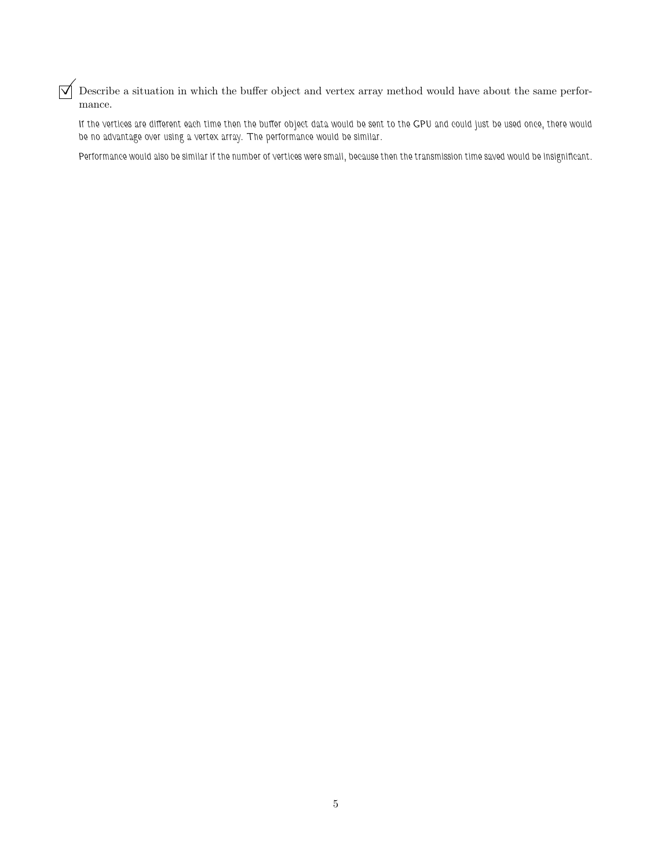$\triangledown$  Describe a situation in which the buffer object and vertex array method would have about the same performance.

If the vertices are different each time then the buffer object data would be sent to the GPU and could just be used once, there would be no advantage over using a vertex array. The performance would be similar.

Performance would also be similar if the number of vertices were small, because then the transmission time saved would be insignificant.